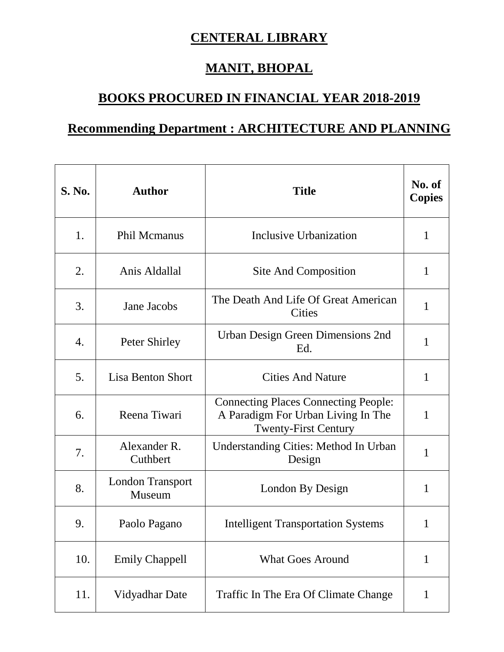## **CENTERAL LIBRARY**

## **MANIT, BHOPAL**

## **BOOKS PROCURED IN FINANCIAL YEAR 2018-2019**

## **Recommending Department : ARCHITECTURE AND PLANNING**

| <b>S. No.</b> | <b>Author</b>                     | <b>Title</b>                                                                                                     | No. of<br><b>Copies</b> |
|---------------|-----------------------------------|------------------------------------------------------------------------------------------------------------------|-------------------------|
| 1.            | <b>Phil Mcmanus</b>               | Inclusive Urbanization                                                                                           | 1                       |
| 2.            | Anis Aldallal                     | Site And Composition                                                                                             | 1                       |
| 3.            | Jane Jacobs                       | The Death And Life Of Great American<br>Cities                                                                   | 1                       |
| 4.            | Peter Shirley                     | Urban Design Green Dimensions 2nd<br>Ed.                                                                         | 1                       |
| 5.            | <b>Lisa Benton Short</b>          | <b>Cities And Nature</b>                                                                                         | 1                       |
| 6.            | Reena Tiwari                      | <b>Connecting Places Connecting People:</b><br>A Paradigm For Urban Living In The<br><b>Twenty-First Century</b> | 1                       |
| 7.            | Alexander R.<br>Cuthbert          | <b>Understanding Cities: Method In Urban</b><br>Design                                                           | 1                       |
| 8.            | <b>London Transport</b><br>Museum | London By Design                                                                                                 | 1                       |
| 9.            | Paolo Pagano                      | <b>Intelligent Transportation Systems</b>                                                                        | 1                       |
| 10.           | <b>Emily Chappell</b>             | <b>What Goes Around</b>                                                                                          | 1                       |
| 11.           | Vidyadhar Date                    | Traffic In The Era Of Climate Change                                                                             | 1                       |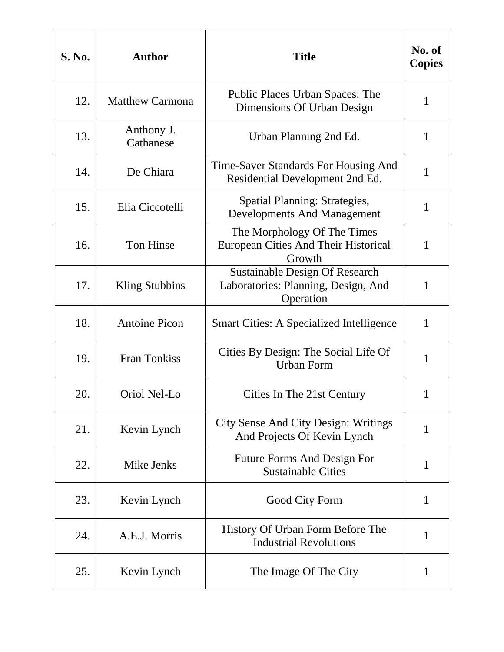| <b>S. No.</b> | <b>Author</b>           | <b>Title</b>                                                                              | No. of<br><b>Copies</b> |
|---------------|-------------------------|-------------------------------------------------------------------------------------------|-------------------------|
| 12.           | <b>Matthew Carmona</b>  | <b>Public Places Urban Spaces: The</b><br>Dimensions Of Urban Design                      | $\mathbf{1}$            |
| 13.           | Anthony J.<br>Cathanese | Urban Planning 2nd Ed.                                                                    | 1                       |
| 14.           | De Chiara               | Time-Saver Standards For Housing And<br>Residential Development 2nd Ed.                   | $\mathbf{1}$            |
| 15.           | Elia Ciccotelli         | <b>Spatial Planning: Strategies,</b><br><b>Developments And Management</b>                | $\mathbf{1}$            |
| 16.           | Ton Hinse               | The Morphology Of The Times<br><b>European Cities And Their Historical</b><br>Growth      | 1                       |
| 17.           | Kling Stubbins          | <b>Sustainable Design Of Research</b><br>Laboratories: Planning, Design, And<br>Operation | 1                       |
| 18.           | <b>Antoine Picon</b>    | <b>Smart Cities: A Specialized Intelligence</b>                                           | $\mathbf{1}$            |
| 19.           | <b>Fran Tonkiss</b>     | Cities By Design: The Social Life Of<br><b>Urban Form</b>                                 | 1                       |
| 20.           | Oriol Nel-Lo            | Cities In The 21st Century                                                                | 1                       |
| 21.           | Kevin Lynch             | <b>City Sense And City Design: Writings</b><br>And Projects Of Kevin Lynch                | $\mathbf{1}$            |
| 22.           | Mike Jenks              | <b>Future Forms And Design For</b><br><b>Sustainable Cities</b>                           | 1                       |
| 23.           | Kevin Lynch             | Good City Form                                                                            | $\mathbf{1}$            |
| 24.           | A.E.J. Morris           | History Of Urban Form Before The<br><b>Industrial Revolutions</b>                         | 1                       |
| 25.           | Kevin Lynch             | The Image Of The City                                                                     | 1                       |